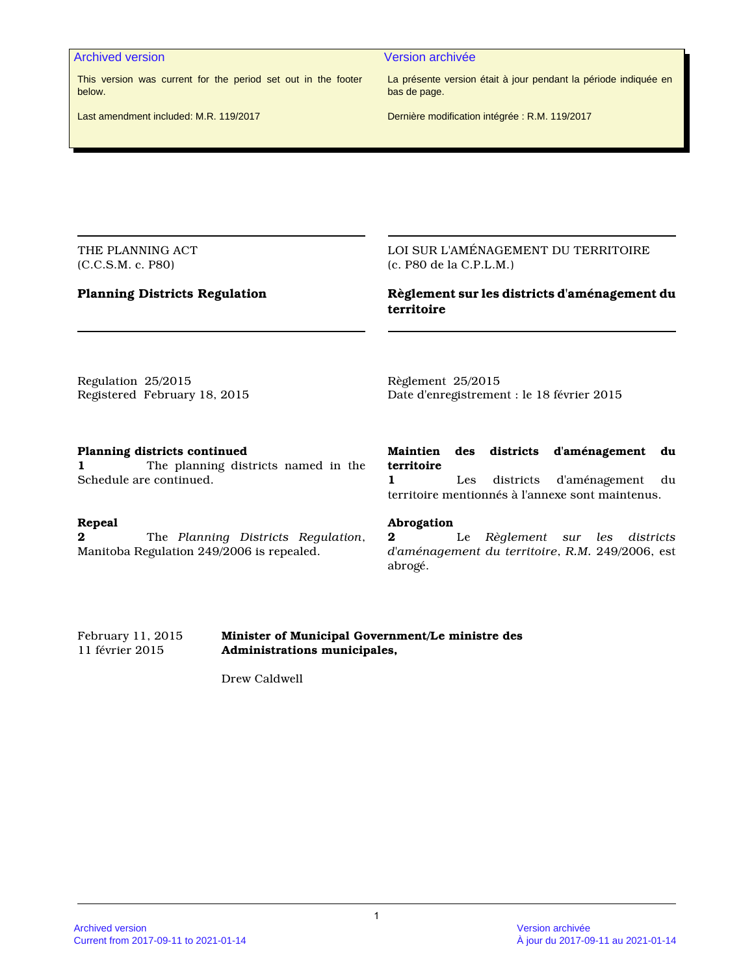#### Archived version and version archivée and version archivée

This version was current for the period set out in the footer below.

La présente version était à jour pendant la période indiquée en bas de page.

Last amendment included: M.R. 119/2017

Dernière modification intégrée : R.M. 119/2017

THE PLANNING ACT (C.C.S.M. c. P80)

# **Planning Districts Regulation**

LOI SUR L'AMÉNAGEMENT DU TERRITOIRE (c. P80 de la C.P.L.M.)

# **Règlement sur les districts d'aménagement du territoire**

Regulation 25/2015 Registered February 18, 2015 Règlement 25/2015 Date d'enregistrement : le 18 février 2015

#### **Planning districts continued**

**1** The planning districts named in the Schedule are continued.

#### **Repeal**

**2** The *Planning Districts Regulation*, Manitoba Regulation 249/2006 is repealed.

# **Maintien des districts d'aménagement du territoire**

**1** Les districts d'aménagement du territoire mentionnés à l'annexe sont maintenus.

#### **Abrogation**

**2** Le *Règlement sur les districts d'aménagement du territoire*, *R.M.* 249/2006, est abrogé.

#### February 11, 2015 **Minister of Municipal Government/Le ministre des** 11 février 2015 **Administrations municipales,**

Drew Caldwell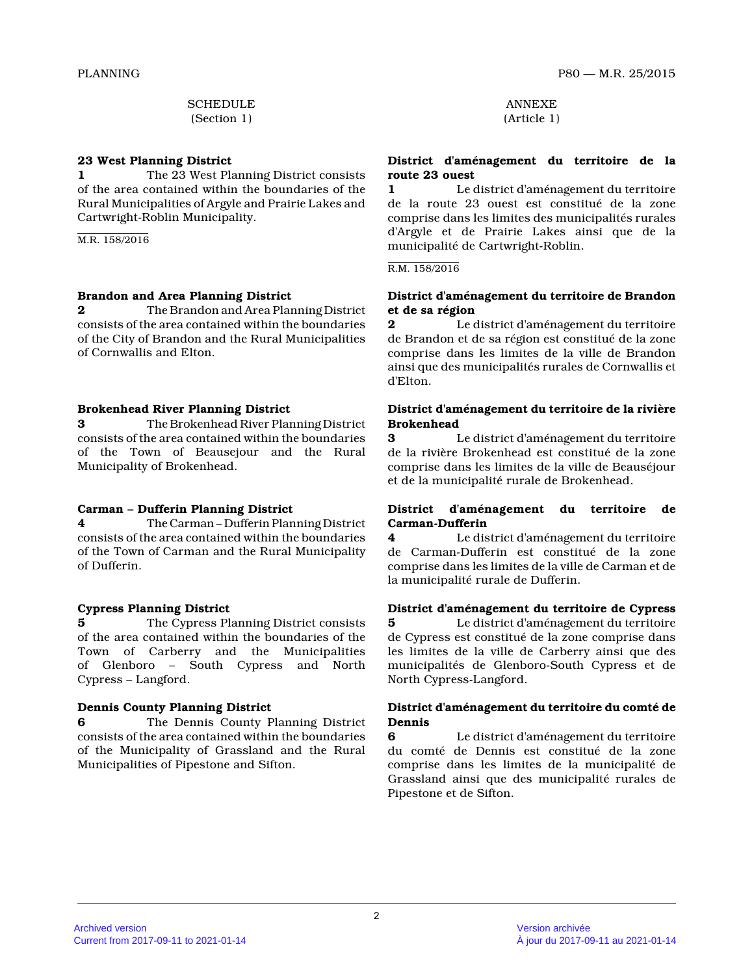**SCHEDULE** (Section 1)

#### **23 West Planning District**

**1** The 23 West Planning District consists of the area contained within the boundaries of the Rural Municipalities of Argyle and Prairie Lakes an d Cartwright-Roblin Municipality.

M.R. 158/2016

# **Brandon and Area Planning District**

**2** The Brandon and Area Planning District consists of the area contained within the boundarie s of the City of Brandon and the Rural Municipalities of Cornwallis and Elton.

# **Brokenhead River Planning District**

**3** The Brokenhead River Planning District consists of the area contained within the boundarie s of the Town of Beausejour and the Rural Municipality of Brokenhead.

# **Carman – Dufferin Planning District**

**4** The Carman – Dufferin Planning District consists of the area contained within the boundarie s of the Town of Carman and the Rural Municipality of Dufferin.

# **Cypress Planning District**

**5** The Cypress Planning District consists of the area contained within the boundaries of the Town of Carberry and the Municipalities of Glenboro – South Cypress and North Cypress – Langford.

# **Dennis County Planning District**

**6** The Dennis County Planning District consists of the area contained within the boundarie s of the Municipality of Grassland and the Rural Municipalities of Pipestone and Sifton.

ANNEXE (Article 1)

#### **District d'aménagement du territoire de la route 23 ouest**

**1** Le district d'aménagement du territoire de la route 23 ouest est constitué de la zone comprise dans les limites des municipalités rurales d'Argyle et de Prairie Lakes ainsi que de la municipalité de Cartwright-Roblin.

#### R.M. 158/2016

#### **District d'aménagement du territoire de Brandon et de sa région**

**2** Le district d'aménagement du territoire de Brandon et de sa région est constitué de la zone comprise dans les limites de la ville de Brandon ainsi que des municipalités rurales de Cornwallis e t d'Elton.

# **District d'aménagement du territoire de la rivière Brokenhead 3** Le district d'aménagement du territoire

de la rivière Brokenhead est constitué de la zone comprise dans les limites de la ville de Beauséjour et de la municipalité rurale de Brokenhead.

#### **District d'aménagement du territoire de Carman-Dufferin**

**4** Le district d'aménagement du territoire de Carman-Dufferin est constitué de la zone comprise dans les limites de la ville de Carman et de la municipalité rurale de Dufferin.

# **District d'aménagement du territoire de Cypress 5** Le district d'aménagement du territoire

de Cypress est constitué de la zone comprise dans les limites de la ville de Carberry ainsi que des municipalités de Glenboro-South Cypress et de North Cypress-Langford.

#### **District d'aménagement du territoire du comté de Dennis**

**6** Le district d'aménagement du territoire du comté de Dennis est constitué de la zone comprise dans les limites de la municipalité de Grassland ainsi que des municipalité rurales de Pipestone et de Sifton.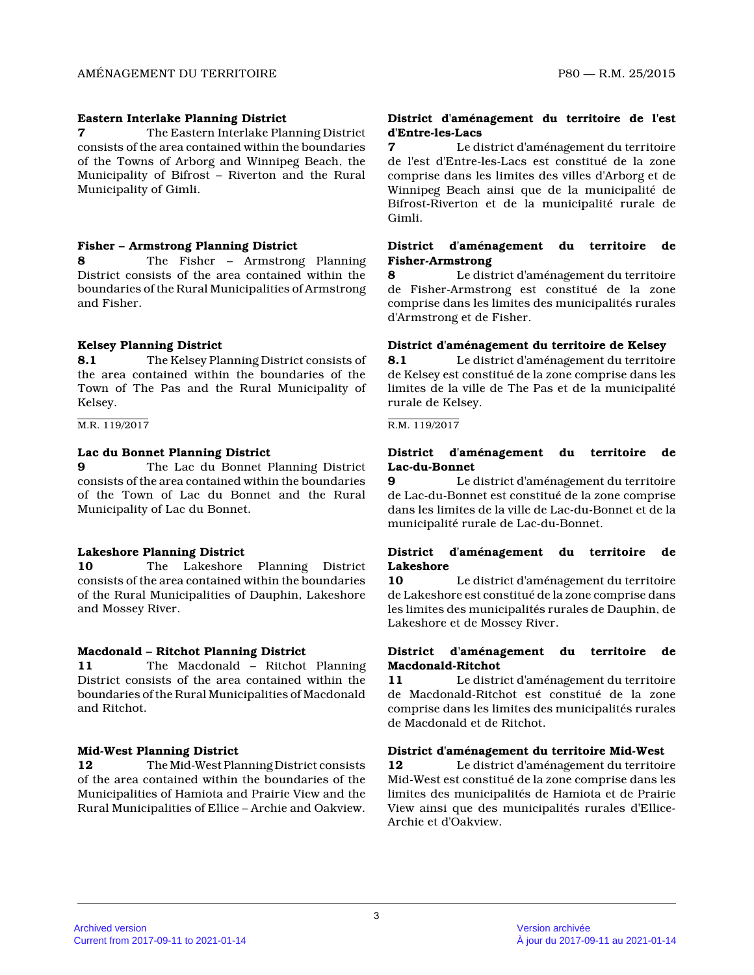#### **Eastern Interlake Planning District**

**7** The Eastern Interlake Planning District consists of the area contained within the boundarie s of the Towns of Arborg and Winnipeg Beach, the Municipality of Bifrost – Riverton and the Rural Municipality of Gimli.

#### **Fisher – Armstrong Planning District**

**8** The Fisher – Armstrong Planning District consists of the area contained within the boundaries of the Rural Municipalities of Armstrong and Fisher.

# **Kelsey Planning District**

**8.1** The Kelsey Planning District consists of the area contained within the boundaries of the Town of The Pas and the Rural Municipality of Kelsey.

#### M.R. 119/2017

#### **Lac du Bonnet Planning District**

**9** The Lac du Bonnet Planning District consists of the area contained within the boundarie s of the Town of Lac du Bonnet and the Rural Municipality of Lac du Bonnet.

# **Lakeshore Planning District**

**10** The Lakeshore Planning District consists of the area contained within the boundarie s of the Rural Municipalities of Dauphin, Lakeshore and Mossey River.

#### **Macdonald – Ritchot Planning District**

**11** The Macdonald – Ritchot Planning District consists of the area contained within the boundaries of the Rural Municipalities of Macdonald and Ritchot.

# **Mid-West Planning District**

**12** The Mid-West Planning District consists of the area contained within the boundaries of the Municipalities of Hamiota and Prairie View and the Rural Municipalities of Ellice – Archie and Oakview .

#### **District d'aménagement du territoire de l'est d'Entre-les-Lacs**

**7** Le district d'aménagement du territoire de l'est d'Entre-les-Lacs est constitué de la zone comprise dans les limites des villes d'Arborg et de Winnipeg Beach ainsi que de la municipalité de Bifrost-Riverton et de la municipalité rurale de Gimli.

#### **District d'aménagement du territoire de Fisher-Armstrong**

**8** Le district d'aménagement du territoire de Fisher-Armstrong est constitué de la zone comprise dans les limites des municipalités rurales d'Armstrong et de Fisher.

#### **District d'aménagement du territoire de Kelsey**

**8.1** Le district d'aménagement du territoire de Kelsey est constitué de la zone comprise dans le s limites de la ville de The Pas et de la municipalit é rurale de Kelsey.

#### R.M. 119/2017

#### **District d'aménagement du territoire de Lac-du-Bonnet**

**9** Le district d'aménagement du territoire de Lac-du-Bonnet est constitué de la zone comprise dans les limites de la ville de Lac-du-Bonnet et de la municipalité rurale de Lac-du-Bonnet.

#### **District d'aménagement du territoire de Lakeshore**

**10** Le district d'aménagement du territoire de Lakeshore est constitué de la zone comprise dans les limites des municipalités rurales de Dauphin, d e Lakeshore et de Mossey River.

#### **District d'aménagement du territoire de Macdonald-Ritchot**

**11** Le district d'aménagement du territoire de Macdonald-Ritchot est constitué de la zone comprise dans les limites des municipalités rurales de Macdonald et de Ritchot.

#### **District d'aménagement du territoire Mid-West**

**12** Le district d'aménagement du territoire Mid-West est constitué de la zone comprise dans les limites des municipalités de Hamiota et de Prairie View ainsi que des municipalités rurales d'Ellice-Archie et d'Oakview.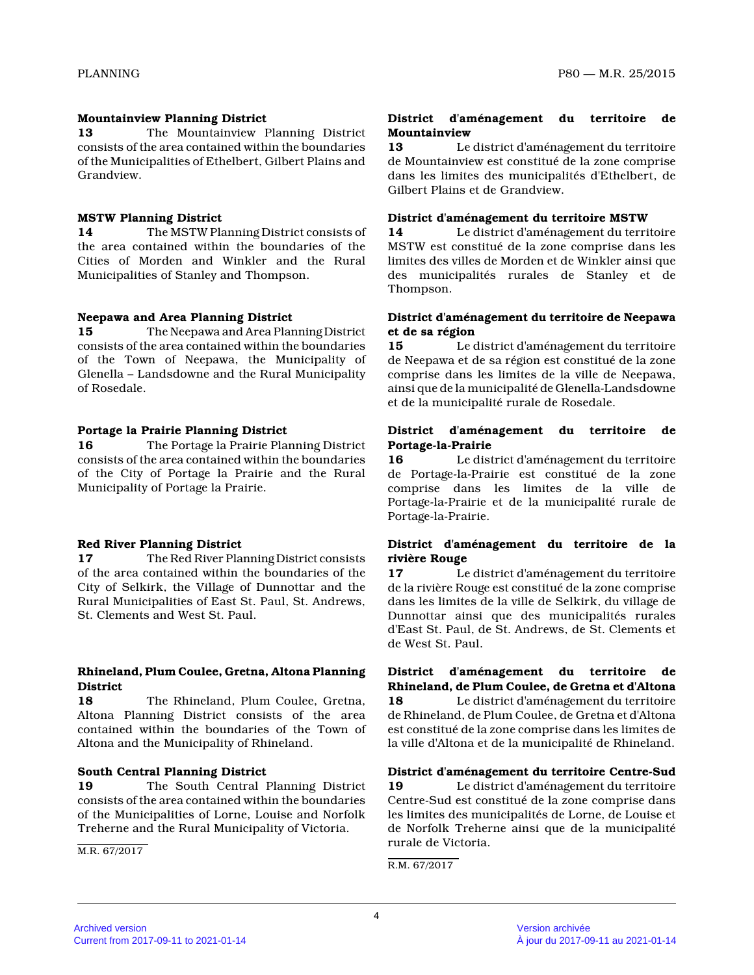#### **Mountainview Planning District**

**13** The Mountainview Planning District consists of the area contained within the boundarie s of the Municipalities of Ethelbert, Gilbert Plains and Grandview.

# **MSTW Planning District**

**14** The MSTW Planning District consists of the area contained within the boundaries of the Cities of Morden and Winkler and the Rural Municipalities of Stanley and Thompson.

#### **Neepawa and Area Planning District**

**15** The Neepawa and Area Planning District consists of the area contained within the boundarie s of the Town of Neepawa, the Municipality of Glenella – Landsdowne and the Rural Municipality of Rosedale.

# **Portage la Prairie Planning District**

**16** The Portage la Prairie Planning District consists of the area contained within the boundarie s of the City of Portage la Prairie and the Rural Municipality of Portage la Prairie.

# **Red River Planning District**

**17** The Red River Planning District consists of the area contained within the boundaries of the City of Selkirk, the Village of Dunnottar and the Rural Municipalities of East St. Paul, St. Andrews, St. Clements and West St. Paul.

#### **Rhineland, Plum Coulee, Gretna, Altona Planning District**

**18** The Rhineland, Plum Coulee, Gretna, Altona Planning District consists of the area contained within the boundaries of the Town of Altona and the Municipality of Rhineland.

#### **South Central Planning District**

**19** The South Central Planning District consists of the area contained within the boundarie s of the Municipalities of Lorne, Louise and Norfolk Treherne and the Rural Municipality of Victoria.

M.R. 67/2017

#### **District d'aménagement du territoire de Mountainview**

**13** Le district d'aménagement du territoire de Mountainview est constitué de la zone comprise dans les limites des municipalités d'Ethelbert, de Gilbert Plains et de Grandview.

#### **District d'aménagement du territoire MSTW**

**14** Le district d'aménagement du territoire MSTW est constitué de la zone comprise dans les limites des villes de Morden et de Winkler ainsi qu e des municipalités rurales de Stanley et de Thompson.

#### **District d'aménagement du territoire de Neepawa et de sa région**

**15** Le district d'aménagement du territoire de Neepawa et de sa région est constitué de la zone comprise dans les limites de la ville de Neepawa, ainsi que de la municipalité de Glenella-Landsdowne et de la municipalité rurale de Rosedale.

#### **District d'aménagement du territoire de Portage-la-Prairie**

**16** Le district d'aménagement du territoire de Portage-la-Prairie est constitué de la zone comprise dans les limites de la ville de Portage-la-Prairie et de la municipalité rurale de Portage-la-Prairie.

# **District d'aménagement du territoire de la rivière Rouge**

**17** Le district d'aménagement du territoire de la rivière Rouge est constitué de la zone comprise dans les limites de la ville de Selkirk, du village de Dunnottar ainsi que des municipalités rurales d'East St. Paul, de St. Andrews, de St. Clements et de West St. Paul.

**District d'aménagement du territoire de Rhineland, de Plum Coulee, de Gretna et d'Altona 18** Le district d'aménagement du territoire de Rhineland, de Plum Coulee, de Gretna et d'Altona est constitué de la zone comprise dans les limites de la ville d'Altona et de la municipalité de Rhineland.

# **District d'aménagement du territoire Centre-Sud**

**19** Le district d'aménagement du territoire Centre-Sud est constitué de la zone comprise dans les limites des municipalités de Lorne, de Louise e t de Norfolk Treherne ainsi que de la municipalité rurale de Victoria.

R.M. 67/2017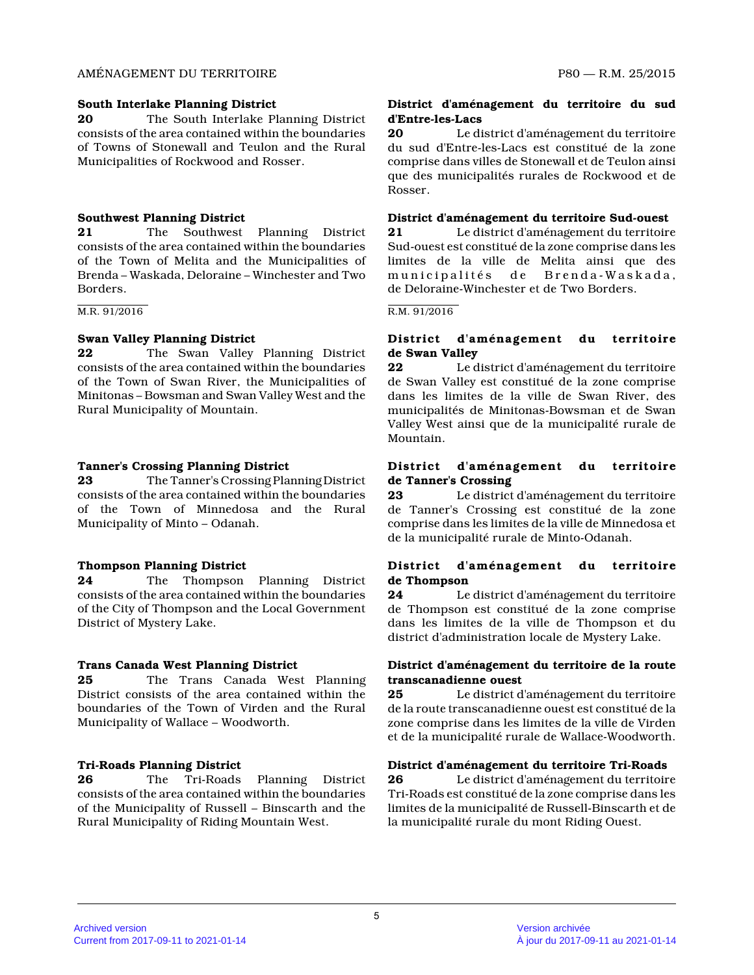#### AMÉNAGEMENT DU TERRITOIRE P80 — R.M. 25/2015

#### **South Interlake Planning District**

**20** The South Interlake Planning District consists of the area contained within the boundarie s of Towns of Stonewall and Teulon and the Rural Municipalities of Rockwood and Rosser.

# **Southwest Planning District**

**21** The Southwest Planning District consists of the area contained within the boundarie s of the Town of Melita and the Municipalities of Brenda – Waskada, Deloraine – Winchester and Two Borders.

M.R. 91/2016

# **Swan Valley Planning District**

**22** The Swan Valley Planning District consists of the area contained within the boundarie s of the Town of Swan River, the Municipalities of Minitonas – Bowsman and Swan Valley West and the Rural Municipality of Mountain.

# **Tanner's Crossing Planning District**

**23** The Tanner's Crossing Planning District consists of the area contained within the boundarie s of the Town of Minnedosa and the Rural Municipality of Minto – Odanah.

# **Thompson Planning District**

**24** The Thompson Planning District consists of the area contained within the boundarie s of the City of Thompson and the Local Government District of Mystery Lake.

# **Trans Canada West Planning District**

**25** The Trans Canada West Planning District consists of the area contained within the boundaries of the Town of Virden and the Rural Municipality of Wallace – Woodworth.

# **Tri-Roads Planning District**

**26** The Tri-Roads Planning District consists of the area contained within the boundarie s of the Municipality of Russell – Binscarth and the Rural Municipality of Riding Mountain West.

# **District d'aménagement du territoire du sud d'Entre-les-Lacs**

**20** Le district d'aménagement du territoire du sud d'Entre-les-Lacs est constitué de la zone comprise dans villes de Stonewall et de Teulon ains i que des municipalités rurales de Rockwood et de Rosser.

# **District d'aménagement du territoire Sud-ouest**

**21** Le district d'aménagement du territoire Sud-ouest est constitué de la zone comprise dans le s limites de la ville de Melita ainsi que des municipalités de Brenda-Waskada, de Deloraine-Winchester et de Two Borders.

#### R.M. 91/2016

# **District d'aménagement du territoire de Swan Valley**

**22** Le district d'aménagement du territoire de Swan Valley est constitué de la zone comprise dans les limites de la ville de Swan River, des municipalités de Minitonas-Bowsman et de Swan Valley West ainsi que de la municipalité rurale de Mountain.

# **District d'aménagement du territoire de Tanner's Crossing**

**23** Le district d'aménagement du territoire de Tanner's Crossing est constitué de la zone comprise dans les limites de la ville de Minnedosa et de la municipalité rurale de Minto-Odanah.

# **District d'aménagement du territoire de Thompson**

**24** Le district d'aménagement du territoire de Thompson est constitué de la zone comprise dans les limites de la ville de Thompson et du district d'administration locale de Mystery Lake.

# **District d'aménagement du territoire de la route transcanadienne ouest**

**25** Le district d'aménagement du territoire de la route transcanadienne ouest est constitué de la zone comprise dans les limites de la ville de Virde n et de la municipalité rurale de Wallace-Woodworth.

# **District d'aménagement du territoire Tri-Roads**

**26** Le district d'aménagement du territoire Tri-Roads est constitué de la zone comprise dans le s limites de la municipalité de Russell-Binscarth et de la municipalité rurale du mont Riding Ouest.